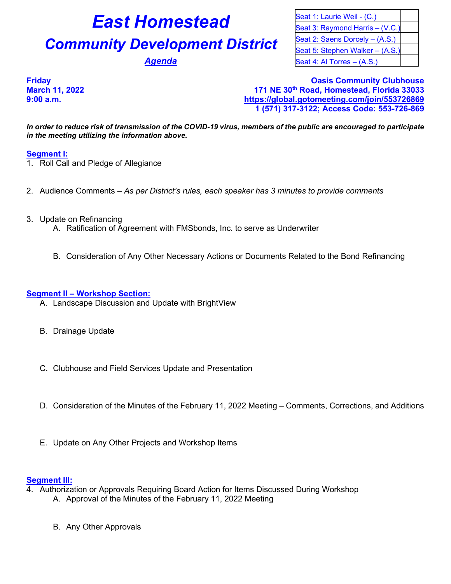# **East Homestead** Seat 1: Laurie Weil - (C.)

# **Community Development District** Seat 2: Saens Dorcely – (A.S.)

Seat 5: Stephen Walker – (A.S.) **Agenda** Seat 4: Al Torres – (A.S.)

Seat 3: Raymond Harris – (V.C.)

**Friday Oasis Community Clubhouse March 11, 2022 171 NE 30th Road, Homestead, Florida 33033 9:00 a.m. <https://global.gotomeeting.com/join/553726869> 1 (571) 317-3122; Access Code: 553-726-869**

*In order to reduce risk of transmission of the COVID-19 virus, members of the public are encouraged to participate in the meeting utilizing the information above.*

## **Segment I:**

- 1. Roll Call and Pledge of Allegiance
- 2. Audience Comments *As per District's rules, each speaker has 3 minutes to provide comments*
- 3. Update on Refinancing
	- A. Ratification of Agreement with FMSbonds, Inc. to serve as Underwriter
	- B. Consideration of Any Other Necessary Actions or Documents Related to the Bond Refinancing

#### **Segment II – Workshop Section:**

- A. Landscape Discussion and Update with BrightView
- B. Drainage Update
- C. Clubhouse and Field Services Update and Presentation
- D. Consideration of the Minutes of the February 11, 2022 Meeting Comments, Corrections, and Additions
- E. Update on Any Other Projects and Workshop Items

### **Segment III:**

- 4. Authorization or Approvals Requiring Board Action for Items Discussed During Workshop A. Approval of the Minutes of the February 11, 2022 Meeting
	- B. Any Other Approvals